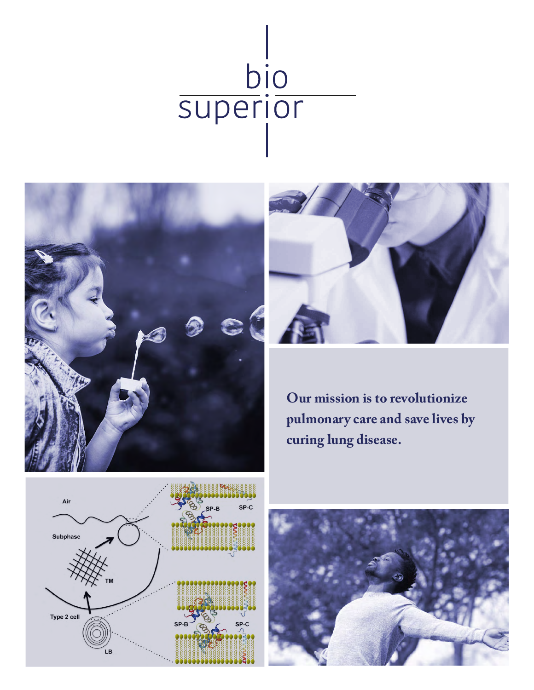





**Our mission is to revolutionize pulmonary care and save lives by curing lung disease.**



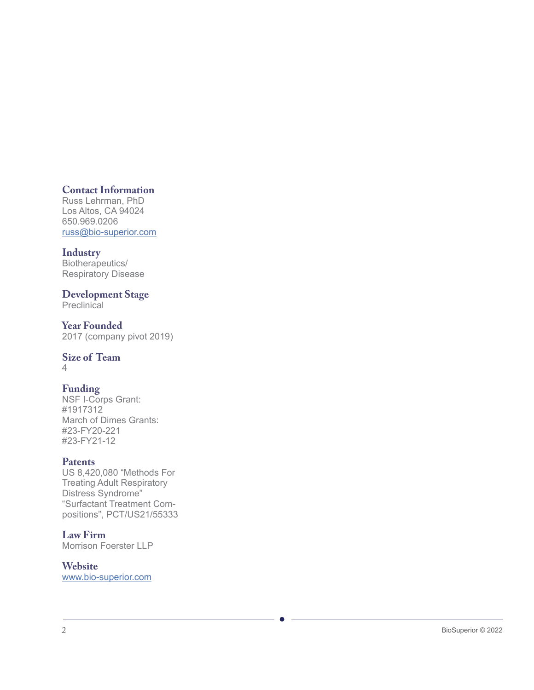### **Contact Information**

Russ Lehrman, PhD Los Altos, CA 94024 650.969.0206 [russ@bio-superior.com](mailto:russ%40bio-superior.com?subject=)

### **Industry**

Biotherapeutics/ Respiratory Disease

#### **Development Stage Preclinical**

**Year Founded** 2017 (company pivot 2019)

### **Size of Team**

4

### **Funding**

NSF I-Corps Grant: #1917312 March of Dimes Grants: #23-FY20-221 #23-FY21-12

### **Patents**

US 8,420,080 "Methods For Treating Adult Respiratory Distress Syndrome" "Surfactant Treatment Compositions", PCT/US21/55333

### **Law Firm**

Morrison Foerster LLP

## **Website**

[www.bio-superior.com](http://www.bio-superior.com )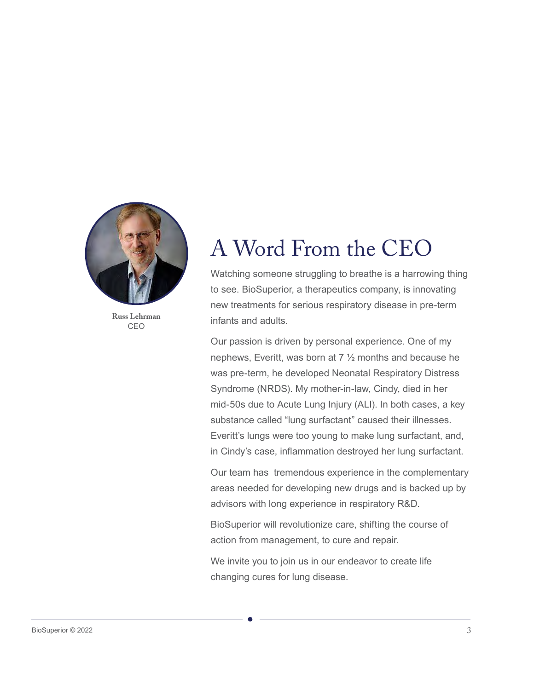

**Russ Lehrman** CEO

## A Word From the CEO

Watching someone struggling to breathe is a harrowing thing to see. BioSuperior, a therapeutics company, is innovating new treatments for serious respiratory disease in pre-term infants and adults.

Our passion is driven by personal experience. One of my nephews, Everitt, was born at 7 ½ months and because he was pre-term, he developed Neonatal Respiratory Distress Syndrome (NRDS). My mother-in-law, Cindy, died in her mid-50s due to Acute Lung Injury (ALI). In both cases, a key substance called "lung surfactant" caused their illnesses. Everitt's lungs were too young to make lung surfactant, and, in Cindy's case, inflammation destroyed her lung surfactant.

Our team has tremendous experience in the complementary areas needed for developing new drugs and is backed up by advisors with long experience in respiratory R&D.

BioSuperior will revolutionize care, shifting the course of action from management, to cure and repair.

We invite you to join us in our endeavor to create life changing cures for lung disease.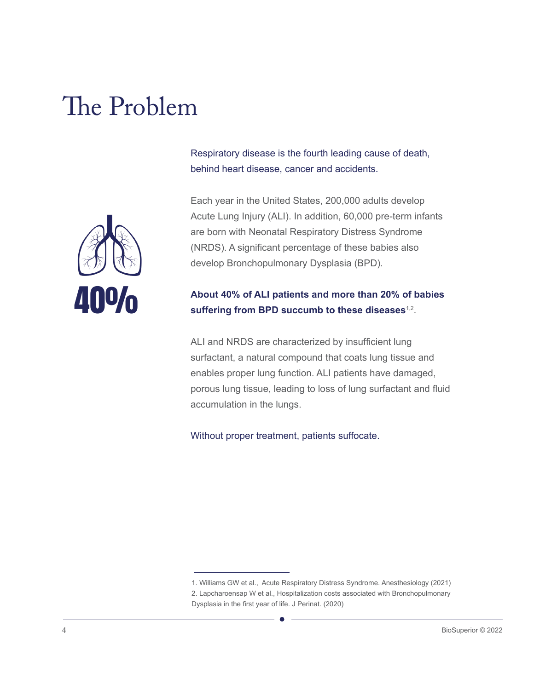# The Problem



Respiratory disease is the fourth leading cause of death, behind heart disease, cancer and accidents.

Each year in the United States, 200,000 adults develop Acute Lung Injury (ALI). In addition, 60,000 pre-term infants are born with Neonatal Respiratory Distress Syndrome (NRDS). A significant percentage of these babies also develop Bronchopulmonary Dysplasia (BPD).

### **About 40% of ALI patients and more than 20% of babies suffering from BPD succumb to these diseases**1,2.

ALI and NRDS are characterized by insufficient lung surfactant, a natural compound that coats lung tissue and enables proper lung function. ALI patients have damaged, porous lung tissue, leading to loss of lung surfactant and fluid accumulation in the lungs.

Without proper treatment, patients suffocate.

<sup>1.</sup> Williams GW et al., Acute Respiratory Distress Syndrome. Anesthesiology (2021) 2. Lapcharoensap W et al., Hospitalization costs associated with Bronchopulmonary Dysplasia in the first year of life. J Perinat. (2020)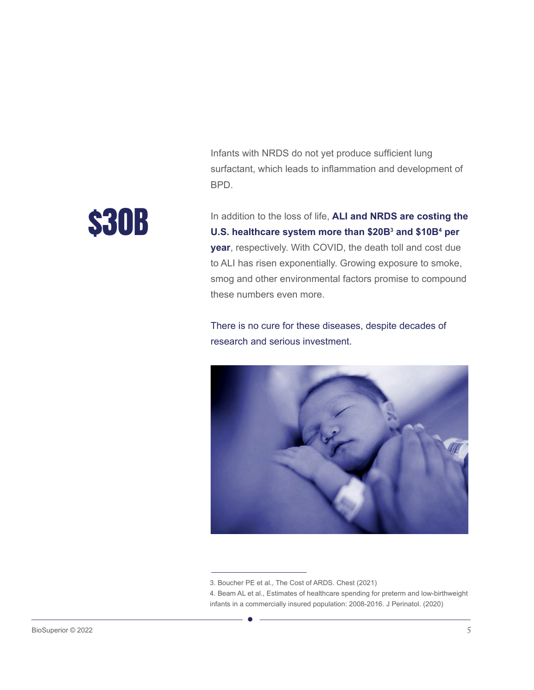Infants with NRDS do not yet produce sufficient lung surfactant, which leads to inflammation and development of BPD.

In addition to the loss of life, **ALI and NRDS are costing the U.S. healthcare system more than \$20B3 and \$10B4 per year**, respectively. With COVID, the death toll and cost due to ALI has risen exponentially. Growing exposure to smoke, \$30B

> There is no cure for these diseases, despite decades of research and serious investment.

these numbers even more.

smog and other environmental factors promise to compound



<sup>3.</sup> Boucher PE et al., The Cost of ARDS. Chest (2021)

<sup>4.</sup> Beam AL et al., Estimates of healthcare spending for preterm and low-birthweight infants in a commercially insured population: 2008-2016. J Perinatol. (2020)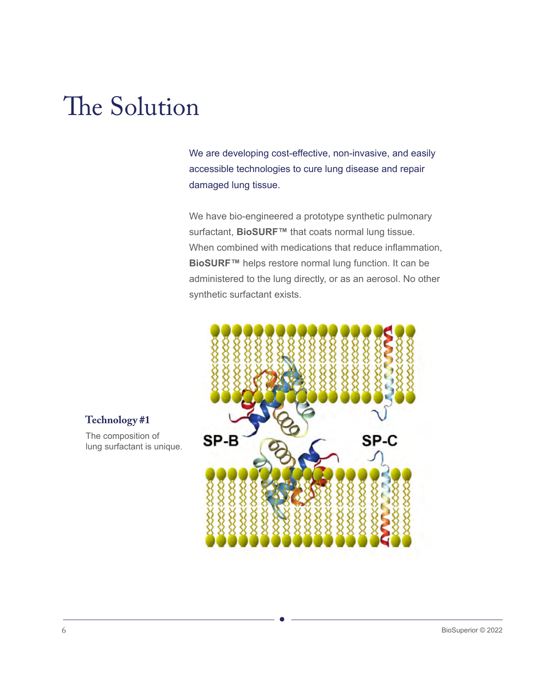# The Solution

We are developing cost-effective, non-invasive, and easily accessible technologies to cure lung disease and repair damaged lung tissue.

We have bio-engineered a prototype synthetic pulmonary surfactant, **BioSURF™** that coats normal lung tissue. When combined with medications that reduce inflammation, **BioSURF™** helps restore normal lung function. It can be administered to the lung directly, or as an aerosol. No other synthetic surfactant exists.



### **Technology #1**

The composition of lung surfactant is unique.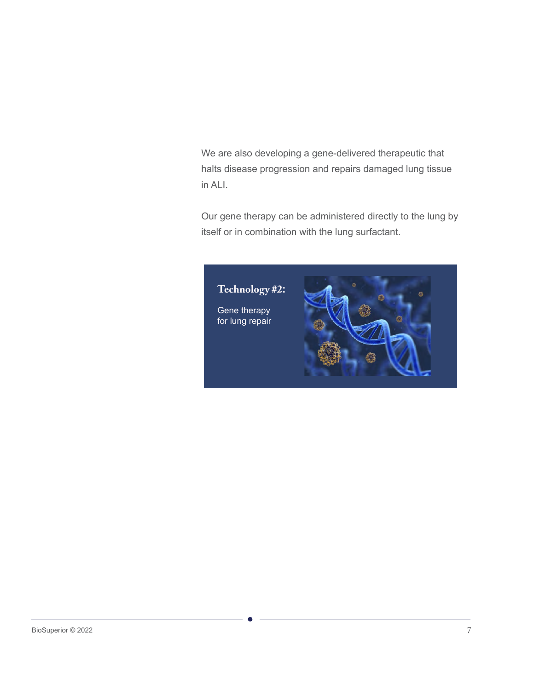We are also developing a gene-delivered therapeutic that halts disease progression and repairs damaged lung tissue in ALI.

Our gene therapy can be administered directly to the lung by itself or in combination with the lung surfactant.

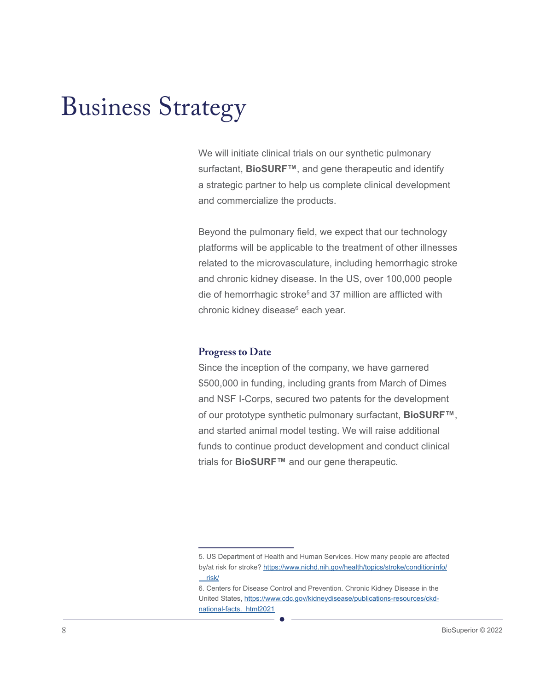# Business Strategy

We will initiate clinical trials on our synthetic pulmonary surfactant, **BioSURF™**, and gene therapeutic and identify a strategic partner to help us complete clinical development and commercialize the products.

Beyond the pulmonary field, we expect that our technology platforms will be applicable to the treatment of other illnesses related to the microvasculature, including hemorrhagic stroke and chronic kidney disease. In the US, over 100,000 people die of hemorrhagic stroke<sup>5</sup> and 37 million are afflicted with chronic kidney disease<sup>6</sup> each year.

#### **Progress to Date**

Since the inception of the company, we have garnered \$500,000 in funding, including grants from March of Dimes and NSF I-Corps, secured two patents for the development of our prototype synthetic pulmonary surfactant, **BioSURF™**, and started animal model testing. We will raise additional funds to continue product development and conduct clinical trials for **BioSURF™** and our gene therapeutic.

<sup>5.</sup> US Department of Health and Human Services. How many people are affected by/at risk for stroke? [https://www.nichd.nih.gov/health/topics/stroke/conditioninfo/](https://www.nichd.nih.gov/health/topics/stroke/conditioninfo/risk/ )  [risk/](https://www.nichd.nih.gov/health/topics/stroke/conditioninfo/risk/ )

<sup>6.</sup> Centers for Disease Control and Prevention. Chronic Kidney Disease in the United States, [https://www.cdc.gov/kidneydisease/publications-resources/ckd](https://www.cdc.gov/kidneydisease/publications-resources/ckd-national-facts.html)[national-facts. html2021](https://www.cdc.gov/kidneydisease/publications-resources/ckd-national-facts.html)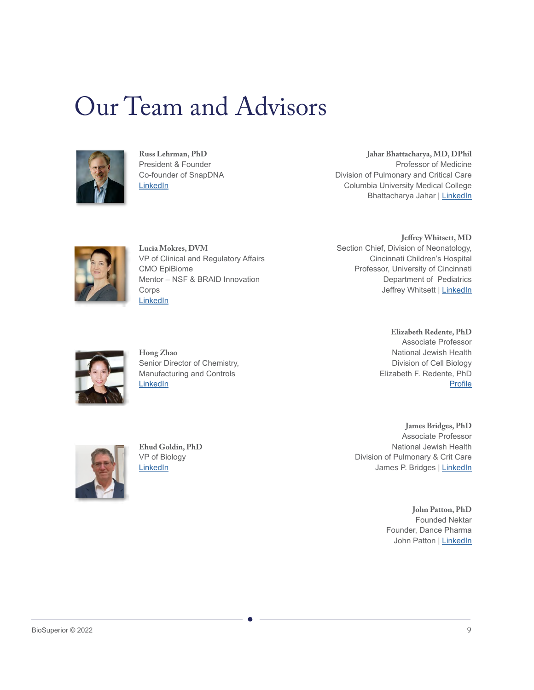## Our Team and Advisors



**Russ Lehrman, PhD** President & Founder Co-founder of SnapDNA [LinkedIn](http://www.linkedin.com/in/russ-lehrman-352b1/)

**Jahar Bhattacharya, MD, DPhil** Professor of Medicine Division of Pulmonary and Critical Care Columbia University Medical College Bhattacharya Jahar | [LinkedIn](https://www.linkedin.com/in/bhattacharya-jahar-2b2706136?lipi=urn%3Ali%3Apage%3Ad_flagship3_profile_view_base_contact_details%3BYVRKgZhESdKdEesa5cHPUQ%3D%3D)



**Lucia Mokres, DVM** VP of Clinical and Regulatory Affairs CMO EpiBiome Mentor – NSF & BRAID Innovation **Corps [LinkedIn](http://www.linkedin.com/in/luciamokres/)** 

**Jeffrey Whitsett, MD** Section Chief, Division of Neonatology, Cincinnati Children's Hospital Professor, University of Cincinnati Department of Pediatrics Jeffrey Whitsett | [LinkedIn](https://www.linkedin.com/in/jeffrey-whitsett-860a91105/)



**Hong Zhao** Senior Director of Chemistry, Manufacturing and Controls **[LinkedIn](http://www.linkedin.com/in/hong-zhao-7b31555/)** 

**Elizabeth Redente, PhD** Associate Professor National Jewish Health Division of Cell Biology Elizabeth F. Redente, PhD P[rofile](https://som.ucdenver.edu/Profiles/Faculty/Profile/22523)



**Ehud Goldin, PhD** VP of Biology [LinkedIn](http://www.linkedin.com/in/medresearchexpert/)

**James Bridges, PhD** Associate Professor National Jewish Health Division of Pulmonary & Crit Care James P. Bridges | [LinkedIn](https://www.linkedin.com/in/james-p-bridges-531a4884/)

> **John Patton, PhD**  Founded Nektar Founder, Dance Pharma John Patton | [LinkedIn](https://www.linkedin.com/in/john-patton-7421545/)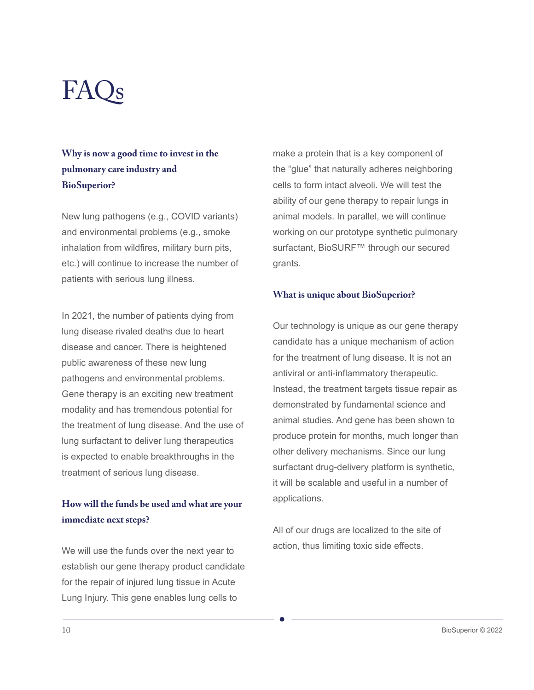# $FAOs$

## **Why is now a good time to invest in the pulmonary care industry and BioSuperior?**

New lung pathogens (e.g., COVID variants) and environmental problems (e.g., smoke inhalation from wildfires, military burn pits, etc.) will continue to increase the number of patients with serious lung illness.

In 2021, the number of patients dying from lung disease rivaled deaths due to heart disease and cancer. There is heightened public awareness of these new lung pathogens and environmental problems. Gene therapy is an exciting new treatment modality and has tremendous potential for the treatment of lung disease. And the use of lung surfactant to deliver lung therapeutics is expected to enable breakthroughs in the treatment of serious lung disease.

### **How will the funds be used and what are your immediate next steps?**

We will use the funds over the next year to establish our gene therapy product candidate for the repair of injured lung tissue in Acute Lung Injury. This gene enables lung cells to

make a protein that is a key component of the "glue" that naturally adheres neighboring cells to form intact alveoli. We will test the ability of our gene therapy to repair lungs in animal models. In parallel, we will continue working on our prototype synthetic pulmonary surfactant, BioSURF™ through our secured grants.

#### **What is unique about BioSuperior?**

Our technology is unique as our gene therapy candidate has a unique mechanism of action for the treatment of lung disease. It is not an antiviral or anti-inflammatory therapeutic. Instead, the treatment targets tissue repair as demonstrated by fundamental science and animal studies. And gene has been shown to produce protein for months, much longer than other delivery mechanisms. Since our lung surfactant drug-delivery platform is synthetic, it will be scalable and useful in a number of applications.

All of our drugs are localized to the site of action, thus limiting toxic side effects.